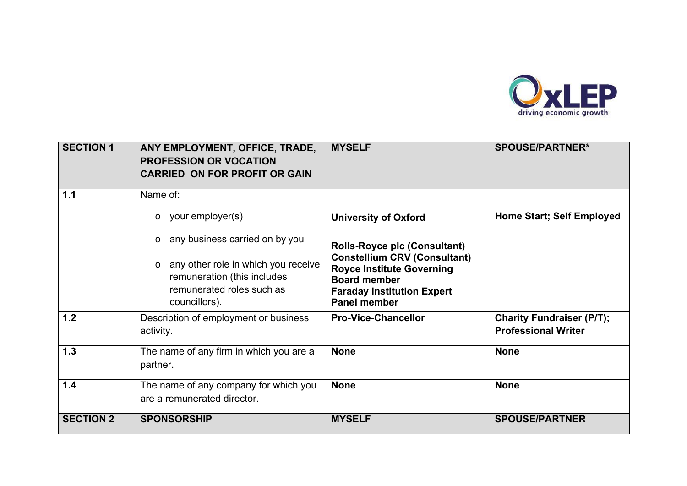

| <b>SECTION 1</b> | ANY EMPLOYMENT, OFFICE, TRADE,<br><b>PROFESSION OR VOCATION</b><br><b>CARRIED ON FOR PROFIT OR GAIN</b>                                                                  | <b>MYSELF</b>                                                                                                                                                                                     | <b>SPOUSE/PARTNER*</b>                                         |
|------------------|--------------------------------------------------------------------------------------------------------------------------------------------------------------------------|---------------------------------------------------------------------------------------------------------------------------------------------------------------------------------------------------|----------------------------------------------------------------|
| 1.1              | Name of:<br>your employer(s)<br>$\circ$                                                                                                                                  | <b>University of Oxford</b>                                                                                                                                                                       | <b>Home Start; Self Employed</b>                               |
|                  | any business carried on by you<br>$\circ$<br>any other role in which you receive<br>$\circ$<br>remuneration (this includes<br>remunerated roles such as<br>councillors). | <b>Rolls-Royce plc (Consultant)</b><br><b>Constellium CRV (Consultant)</b><br><b>Royce Institute Governing</b><br><b>Board member</b><br><b>Faraday Institution Expert</b><br><b>Panel member</b> |                                                                |
| 1.2              | Description of employment or business<br>activity.                                                                                                                       | <b>Pro-Vice-Chancellor</b>                                                                                                                                                                        | <b>Charity Fundraiser (P/T);</b><br><b>Professional Writer</b> |
| 1.3              | The name of any firm in which you are a<br>partner.                                                                                                                      | <b>None</b>                                                                                                                                                                                       | <b>None</b>                                                    |
| 1.4              | The name of any company for which you<br>are a remunerated director.                                                                                                     | <b>None</b>                                                                                                                                                                                       | <b>None</b>                                                    |
| <b>SECTION 2</b> | <b>SPONSORSHIP</b>                                                                                                                                                       | <b>MYSELF</b>                                                                                                                                                                                     | <b>SPOUSE/PARTNER</b>                                          |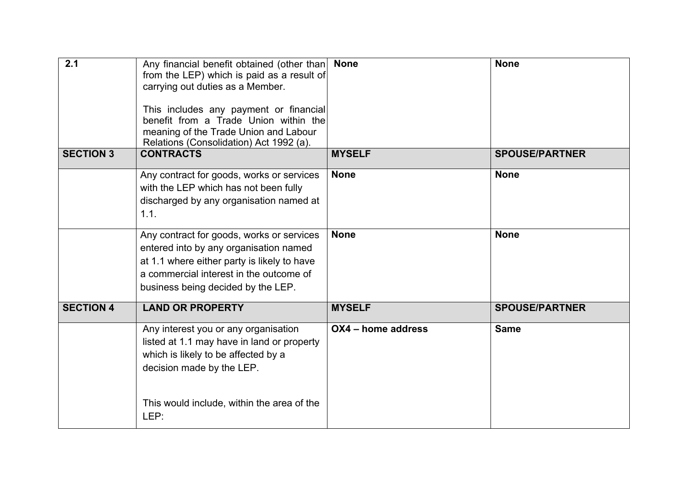| 2.1              | Any financial benefit obtained (other than<br>from the LEP) which is paid as a result of<br>carrying out duties as a Member.<br>This includes any payment or financial<br>benefit from a Trade Union within the<br>meaning of the Trade Union and Labour<br>Relations (Consolidation) Act 1992 (a). | <b>None</b>        | <b>None</b>           |
|------------------|-----------------------------------------------------------------------------------------------------------------------------------------------------------------------------------------------------------------------------------------------------------------------------------------------------|--------------------|-----------------------|
| <b>SECTION 3</b> | <b>CONTRACTS</b>                                                                                                                                                                                                                                                                                    | <b>MYSELF</b>      | <b>SPOUSE/PARTNER</b> |
|                  | Any contract for goods, works or services<br>with the LEP which has not been fully<br>discharged by any organisation named at<br>1.1.                                                                                                                                                               | <b>None</b>        | <b>None</b>           |
|                  | Any contract for goods, works or services<br>entered into by any organisation named<br>at 1.1 where either party is likely to have<br>a commercial interest in the outcome of<br>business being decided by the LEP.                                                                                 | <b>None</b>        | <b>None</b>           |
| <b>SECTION 4</b> | <b>LAND OR PROPERTY</b>                                                                                                                                                                                                                                                                             | <b>MYSELF</b>      | <b>SPOUSE/PARTNER</b> |
|                  | Any interest you or any organisation<br>listed at 1.1 may have in land or property<br>which is likely to be affected by a<br>decision made by the LEP.                                                                                                                                              | OX4 - home address | <b>Same</b>           |
|                  | This would include, within the area of the<br>LEP:                                                                                                                                                                                                                                                  |                    |                       |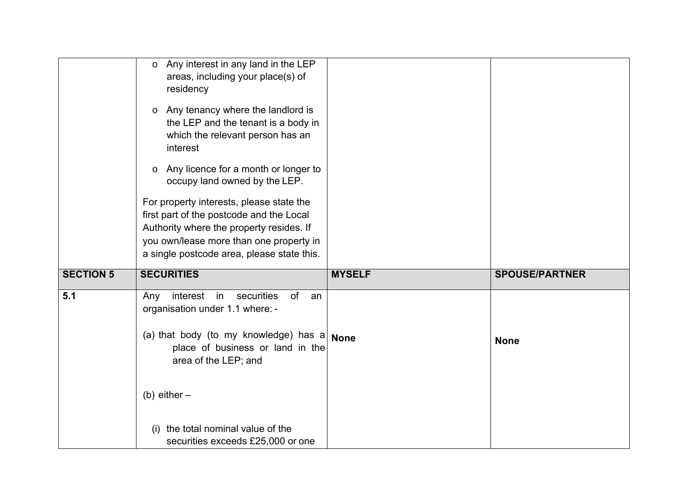|                  | Any interest in any land in the LEP<br>$\circ$<br>areas, including your place(s) of<br>residency                                                                                                                          |               |                       |
|------------------|---------------------------------------------------------------------------------------------------------------------------------------------------------------------------------------------------------------------------|---------------|-----------------------|
|                  | Any tenancy where the landlord is<br>$\circ$<br>the LEP and the tenant is a body in<br>which the relevant person has an<br>interest                                                                                       |               |                       |
|                  | Any licence for a month or longer to<br>$\circ$<br>occupy land owned by the LEP.                                                                                                                                          |               |                       |
|                  | For property interests, please state the<br>first part of the postcode and the Local<br>Authority where the property resides. If<br>you own/lease more than one property in<br>a single postcode area, please state this. |               |                       |
| <b>SECTION 5</b> | <b>SECURITIES</b>                                                                                                                                                                                                         | <b>MYSELF</b> | <b>SPOUSE/PARTNER</b> |
| 5.1              | interest in<br>securities<br>of<br>Any<br>an<br>organisation under 1.1 where: -                                                                                                                                           |               |                       |
|                  | (a) that body (to my knowledge) has a<br>place of business or land in the<br>area of the LEP; and                                                                                                                         | <b>None</b>   | <b>None</b>           |
|                  | (b) either $-$                                                                                                                                                                                                            |               |                       |
|                  | the total nominal value of the<br>(1)<br>securities exceeds £25,000 or one                                                                                                                                                |               |                       |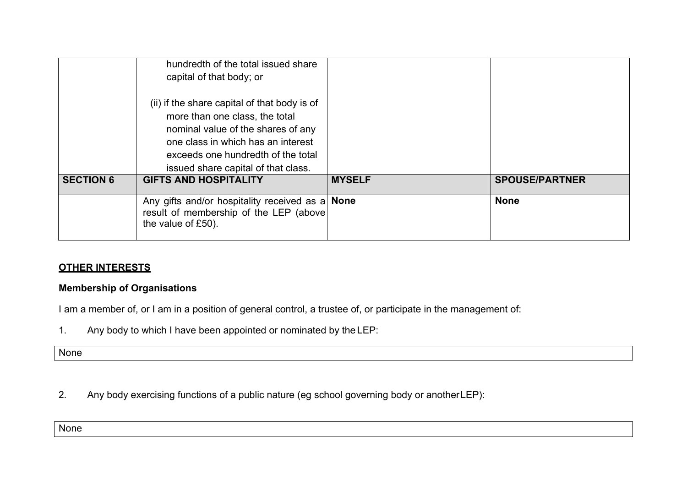|                  | hundredth of the total issued share                                                                                                                                                              |               |                       |
|------------------|--------------------------------------------------------------------------------------------------------------------------------------------------------------------------------------------------|---------------|-----------------------|
|                  | capital of that body; or                                                                                                                                                                         |               |                       |
|                  | (ii) if the share capital of that body is of<br>more than one class, the total<br>nominal value of the shares of any<br>one class in which has an interest<br>exceeds one hundredth of the total |               |                       |
|                  | issued share capital of that class.                                                                                                                                                              |               |                       |
| <b>SECTION 6</b> | <b>GIFTS AND HOSPITALITY</b>                                                                                                                                                                     | <b>MYSELF</b> | <b>SPOUSE/PARTNER</b> |
|                  | Any gifts and/or hospitality received as a None<br>result of membership of the LEP (above)<br>the value of £50).                                                                                 |               | <b>None</b>           |

# **OTHER INTERESTS**

# **Membership of Organisations**

I am a member of, or I am in a position of general control, a trustee of, or participate in the management of:

1. Any body to which I have been appointed or nominated by the LEP:

**None** 

2. Any body exercising functions of a public nature (eg school governing body or another LEP):

None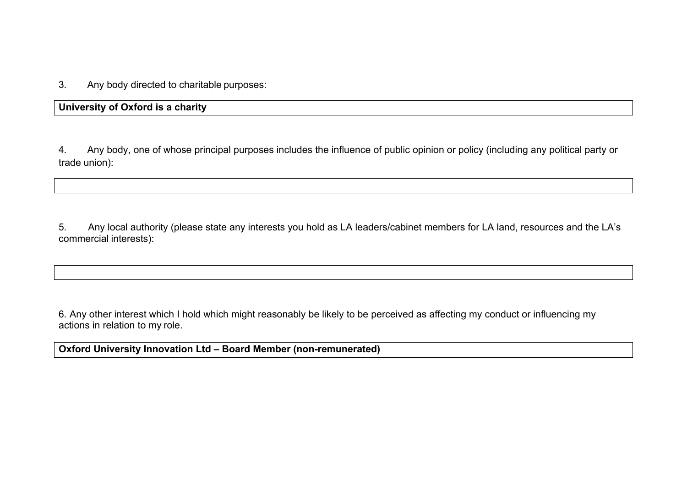3. Any body directed to charitable purposes:

**University of Oxford is a charity** 

4. Any body, one of whose principal purposes includes the influence of public opinion or policy (including any political party or trade union):

5. Any local authority (please state any interests you hold as LA leaders/cabinet members for LA land, resources and the LA's commercial interests):

6. Any other interest which I hold which might reasonably be likely to be perceived as affecting my conduct or influencing my actions in relation to my role.

**Oxford University Innovation Ltd – Board Member (non-remunerated)**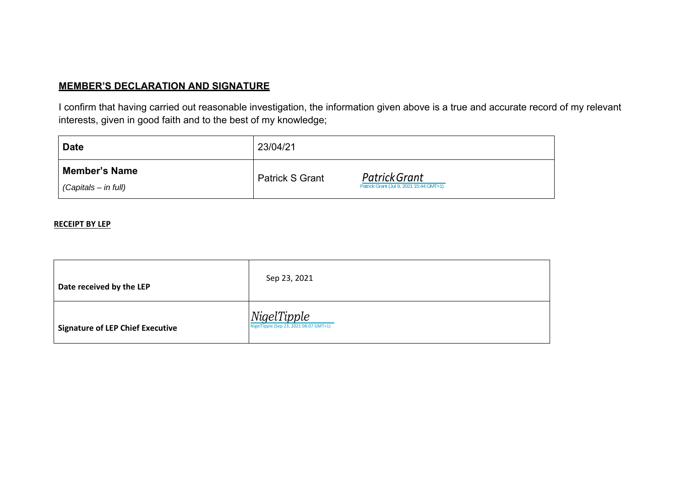## **MEMBER'S DECLARATION AND SIGNATURE**

I confirm that having carried out reasonable investigation, the information given above is a true and accurate record of my relevant interests, given in good faith and to the best of my knowledge;

| <b>Date</b>                                  | 23/04/21               |                                                          |
|----------------------------------------------|------------------------|----------------------------------------------------------|
| <b>Member's Name</b><br>(Capitals – in full) | <b>Patrick S Grant</b> | Patrick Grant<br>Patrick Grant (Jul 9, 2021 15:44 GMT+1) |

#### **RECEIPT BY LEP**

| Date received by the LEP                | Sep 23, 2021                                          |
|-----------------------------------------|-------------------------------------------------------|
| <b>Signature of LEP Chief Executive</b> | NigelTipple<br>NigelTipple (Sep 23, 2021 08:07 GMT+1) |